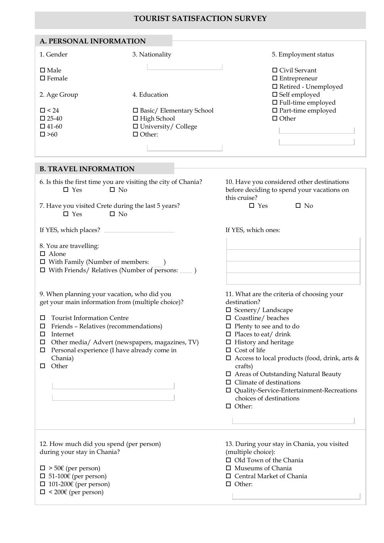## **TOURISΤ SATISFACTION SURVEY**

| A. PERSONAL INFORMATION            |                                 |                                                                            |
|------------------------------------|---------------------------------|----------------------------------------------------------------------------|
| 1. Gender                          | 3. Nationality                  | 5. Employment status                                                       |
| $\square$ Male<br>$\square$ Female |                                 | $\Box$ Civil Servant<br>$\Box$ Entrepreneur<br>$\Box$ Retired - Unemployed |
| 2. Age Group                       | 4. Education                    | $\square$ Self employed<br>$\Box$ Full-time employed                       |
| $\Box$ < 24                        | $\Box$ Basic/ Elementary School | $\Box$ Part-time employed                                                  |
| $\Box$ 25-40                       | $\Box$ High School              | $\Box$ Other                                                               |
| $\Box$ 41-60                       | $\Box$ University/ College      |                                                                            |
| $\square > 60$                     | $\Box$ Other:                   |                                                                            |
|                                    |                                 |                                                                            |
| <b>B. TRAVEL INFORMATION</b>       |                                 |                                                                            |
|                                    |                                 |                                                                            |

| <u>. KI I JED II (I OKINI I I I OI)</u>                                                                                                         |                                                                                                          |  |  |  |  |  |  |  |  |
|-------------------------------------------------------------------------------------------------------------------------------------------------|----------------------------------------------------------------------------------------------------------|--|--|--|--|--|--|--|--|
| 6. Is this the first time you are visiting the city of Chania?<br>$\square$ No<br>$\square$ Yes                                                 | 10. Have you considered other destinations<br>before deciding to spend your vacations on<br>this cruise? |  |  |  |  |  |  |  |  |
| 7. Have you visited Crete during the last 5 years?<br>$\square$ Yes<br>$\square$ No                                                             | $\square$ Yes<br>$\square$ No                                                                            |  |  |  |  |  |  |  |  |
| If YES, which places?                                                                                                                           | If YES, which ones:                                                                                      |  |  |  |  |  |  |  |  |
| 8. You are travelling:<br>$\Box$ Alone<br>$\Box$ With Family (Number of members:<br>$\Box$ With Friends/ Relatives (Number of persons: $\Box$ ) |                                                                                                          |  |  |  |  |  |  |  |  |
| 9. When planning your vacation, who did you<br>get your main information from (multiple choice)?                                                | 11. What are the criteria of choosing your<br>destination?<br>$\square$ Scenery/ Landscape               |  |  |  |  |  |  |  |  |
| <b>Tourist Information Centre</b><br>Ш.                                                                                                         | $\square$ Coastline/ beaches                                                                             |  |  |  |  |  |  |  |  |
| $\Box$ Friends - Relatives (recommendations)                                                                                                    | $\Box$ Plenty to see and to do<br>$\Box$ Places to eat/ drink                                            |  |  |  |  |  |  |  |  |
| $\Box$ Internet                                                                                                                                 |                                                                                                          |  |  |  |  |  |  |  |  |
| Other media/ Advert (newspapers, magazines, TV)                                                                                                 | $\Box$ History and heritage                                                                              |  |  |  |  |  |  |  |  |
| $\Box$ Personal experience (I have already come in                                                                                              | $\Box$ Cost of life                                                                                      |  |  |  |  |  |  |  |  |
| Chania)<br>Other                                                                                                                                | $\Box$ Access to local products (food, drink, arts &<br>crafts)                                          |  |  |  |  |  |  |  |  |
|                                                                                                                                                 | $\Box$ Areas of Outstanding Natural Beauty                                                               |  |  |  |  |  |  |  |  |
|                                                                                                                                                 | $\Box$ Climate of destinations                                                                           |  |  |  |  |  |  |  |  |
|                                                                                                                                                 | □ Quality-Service-Entertainment-Recreations                                                              |  |  |  |  |  |  |  |  |
|                                                                                                                                                 | choices of destinations                                                                                  |  |  |  |  |  |  |  |  |
|                                                                                                                                                 | $\Box$ Other:                                                                                            |  |  |  |  |  |  |  |  |
|                                                                                                                                                 |                                                                                                          |  |  |  |  |  |  |  |  |
| 12. How much did you spend (per person)                                                                                                         | 13. During your stay in Chania, you visited                                                              |  |  |  |  |  |  |  |  |
| during your stay in Chania?                                                                                                                     | (multiple choice):                                                                                       |  |  |  |  |  |  |  |  |
|                                                                                                                                                 | □ Old Town of the Chania                                                                                 |  |  |  |  |  |  |  |  |
| $\square$ > 50€ (per person)                                                                                                                    | $\Box$ Museums of Chania                                                                                 |  |  |  |  |  |  |  |  |
| $\Box$ 51-100€ (per person)                                                                                                                     | $\Box$ Central Market of Chania                                                                          |  |  |  |  |  |  |  |  |
| $\Box$ 101-200€ (per person)                                                                                                                    | $\Box$ Other:                                                                                            |  |  |  |  |  |  |  |  |
| $\square$ < 200€ (per person)                                                                                                                   |                                                                                                          |  |  |  |  |  |  |  |  |